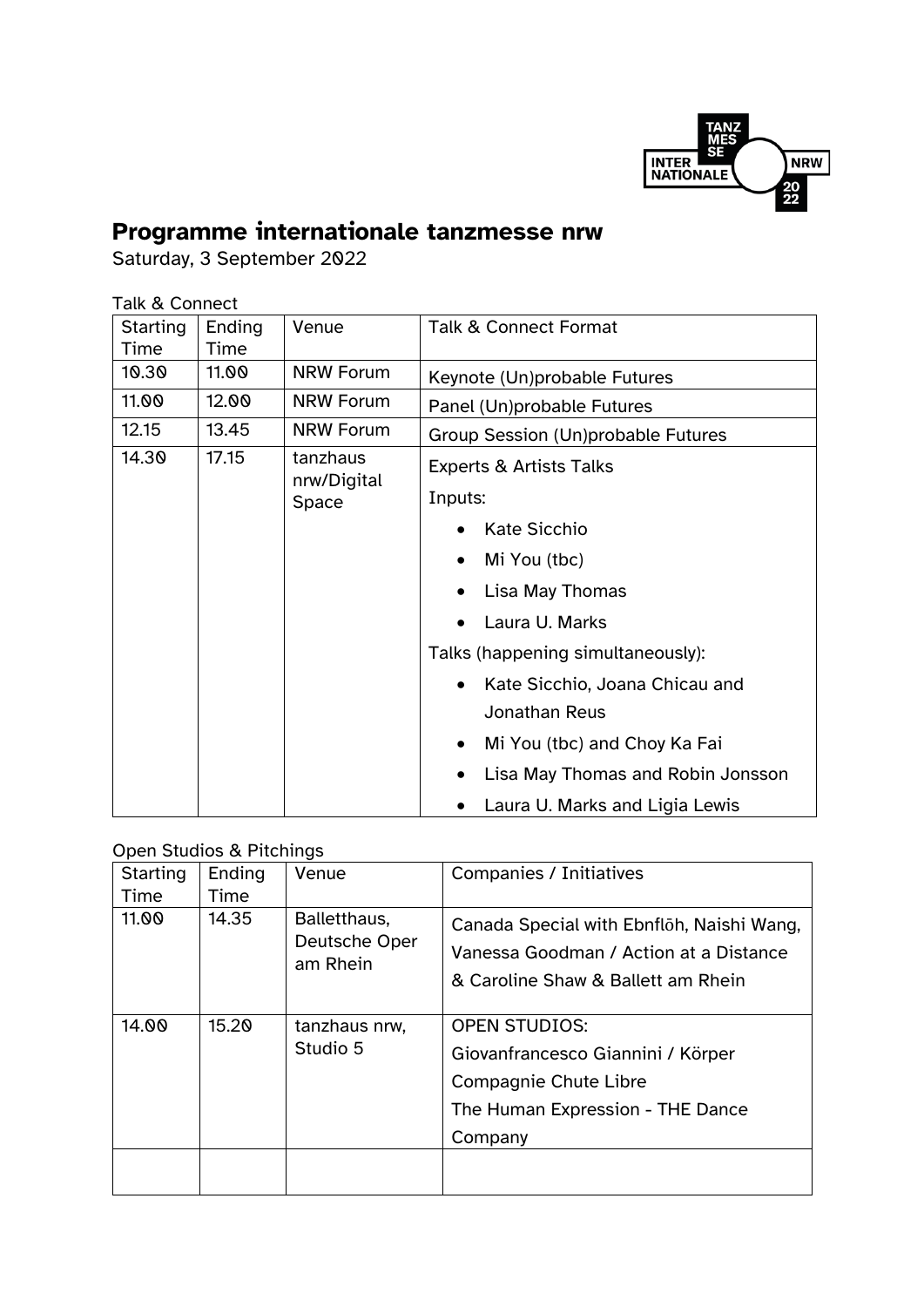

## **Programme internationale tanzmesse nrw**

Saturday, 3 September 2022

## Talk & Connect

| Starting | Ending | Venue                   | <b>Talk &amp; Connect Format</b>              |  |  |
|----------|--------|-------------------------|-----------------------------------------------|--|--|
| Time     | Time   |                         |                                               |  |  |
| 10.30    | 11.00  | <b>NRW Forum</b>        | Keynote (Un)probable Futures                  |  |  |
| 11.00    | 12.00  | <b>NRW Forum</b>        | Panel (Un)probable Futures                    |  |  |
| 12.15    | 13.45  | <b>NRW Forum</b>        | Group Session (Un)probable Futures            |  |  |
| 14.30    | 17.15  | tanzhaus<br>nrw/Digital | <b>Experts &amp; Artists Talks</b><br>Inputs: |  |  |
|          |        | Space                   |                                               |  |  |
|          |        |                         | <b>Kate Sicchio</b>                           |  |  |
|          |        |                         | Mi You (tbc)<br>$\bullet$                     |  |  |
|          |        |                         | Lisa May Thomas                               |  |  |
|          |        |                         | Laura U. Marks                                |  |  |
|          |        |                         | Talks (happening simultaneously):             |  |  |
|          |        |                         | Kate Sicchio, Joana Chicau and                |  |  |
|          |        |                         | Jonathan Reus                                 |  |  |
|          |        |                         | Mi You (tbc) and Choy Ka Fai<br>$\bullet$     |  |  |
|          |        |                         | Lisa May Thomas and Robin Jonsson             |  |  |
|          |        |                         | Laura U. Marks and Ligia Lewis                |  |  |

## Open Studios & Pitchings

| <b>Starting</b><br>Time | Ending<br>Time | Venue                                     | <b>Companies / Initiatives</b>                                                                                            |  |  |  |  |  |
|-------------------------|----------------|-------------------------------------------|---------------------------------------------------------------------------------------------------------------------------|--|--|--|--|--|
|                         |                |                                           |                                                                                                                           |  |  |  |  |  |
| 11.00                   | 14.35          | Balletthaus,<br>Deutsche Oper<br>am Rhein | Canada Special with Ebnfloh, Naishi Wang,<br>Vanessa Goodman / Action at a Distance<br>& Caroline Shaw & Ballett am Rhein |  |  |  |  |  |
| 14.00                   | 15.20          | tanzhaus nrw,<br>Studio 5                 | <b>OPEN STUDIOS:</b>                                                                                                      |  |  |  |  |  |
|                         |                |                                           | Giovanfrancesco Giannini / Körper                                                                                         |  |  |  |  |  |
|                         |                |                                           | Compagnie Chute Libre                                                                                                     |  |  |  |  |  |
|                         |                |                                           | The Human Expression - THE Dance                                                                                          |  |  |  |  |  |
|                         |                |                                           | Company                                                                                                                   |  |  |  |  |  |
|                         |                |                                           |                                                                                                                           |  |  |  |  |  |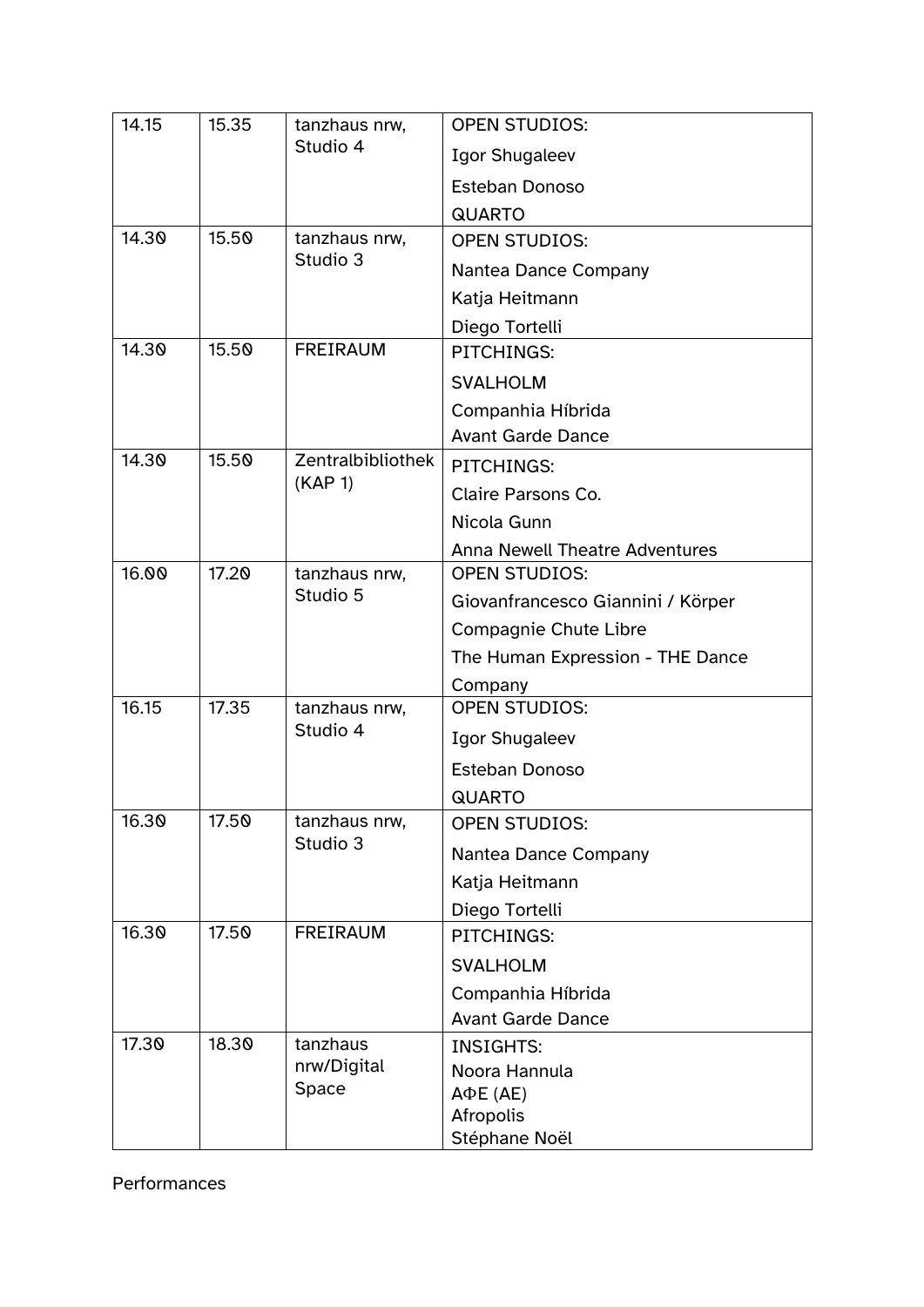| 14.15 | 15.35 | tanzhaus nrw,<br>Studio 4        | <b>OPEN STUDIOS:</b>                  |  |
|-------|-------|----------------------------------|---------------------------------------|--|
|       |       |                                  | <b>Igor Shugaleev</b>                 |  |
|       |       |                                  | <b>Esteban Donoso</b>                 |  |
|       |       |                                  | <b>QUARTO</b>                         |  |
| 14.30 | 15.50 | tanzhaus nrw,<br>Studio 3        | <b>OPEN STUDIOS:</b>                  |  |
|       |       |                                  | Nantea Dance Company                  |  |
|       |       |                                  | Katja Heitmann                        |  |
|       |       |                                  | Diego Tortelli                        |  |
| 14.30 | 15.50 | <b>FREIRAUM</b>                  | PITCHINGS:                            |  |
|       |       |                                  | <b>SVALHOLM</b>                       |  |
|       |       |                                  | Companhia Híbrida                     |  |
|       |       |                                  | <b>Avant Garde Dance</b>              |  |
| 14.30 | 15.50 | Zentralbibliothek<br>(KAP 1)     | PITCHINGS:                            |  |
|       |       |                                  | Claire Parsons Co.                    |  |
|       |       |                                  | Nicola Gunn                           |  |
|       |       |                                  | <b>Anna Newell Theatre Adventures</b> |  |
| 16.00 | 17.20 | tanzhaus nrw,                    | <b>OPEN STUDIOS:</b>                  |  |
|       |       | Studio 5                         | Giovanfrancesco Giannini / Körper     |  |
|       |       |                                  | <b>Compagnie Chute Libre</b>          |  |
|       |       |                                  | The Human Expression - THE Dance      |  |
|       |       |                                  | Company                               |  |
| 16.15 | 17.35 | tanzhaus nrw,<br>Studio 4        | <b>OPEN STUDIOS:</b>                  |  |
|       |       |                                  | <b>Igor Shugaleev</b>                 |  |
|       |       |                                  | Esteban Donoso                        |  |
|       |       |                                  | <b>QUARTO</b>                         |  |
| 16.30 | 17.50 | tanzhaus nrw,<br>Studio 3        | <b>OPEN STUDIOS:</b>                  |  |
|       |       |                                  | Nantea Dance Company                  |  |
|       |       |                                  | Katja Heitmann                        |  |
|       |       |                                  | Diego Tortelli                        |  |
| 16.30 | 17.50 | <b>FREIRAUM</b>                  | PITCHINGS:                            |  |
|       |       |                                  | <b>SVALHOLM</b>                       |  |
|       |       |                                  | Companhia Híbrida                     |  |
|       |       |                                  | <b>Avant Garde Dance</b>              |  |
| 17.30 | 18.30 | tanzhaus<br>nrw/Digital<br>Space | <b>INSIGHTS:</b>                      |  |
|       |       |                                  | Noora Hannula                         |  |
|       |       |                                  | $A\Phi E$ (AE)<br>Afropolis           |  |
|       |       |                                  | Stéphane Noël                         |  |